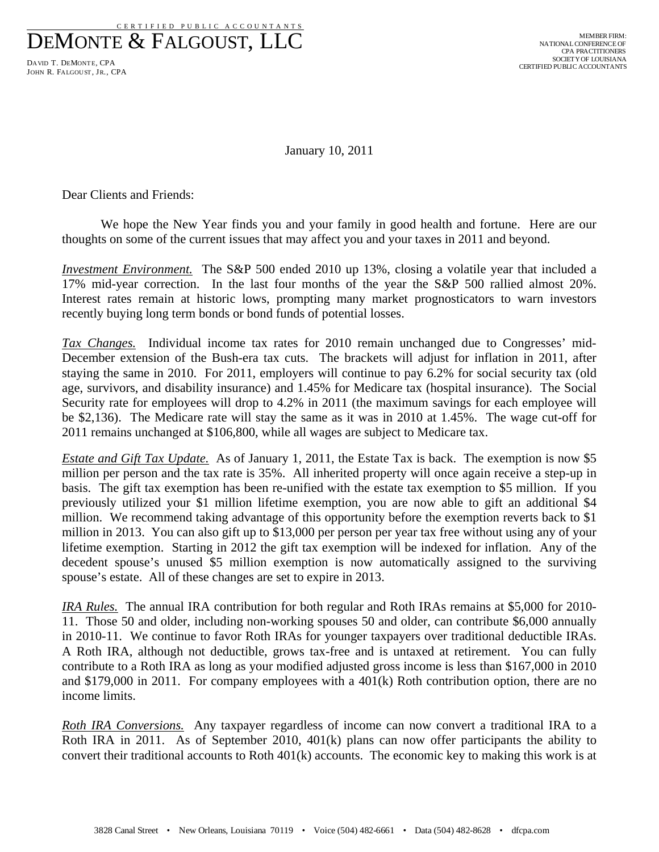CERT IFIED PUBLIC ACCOUNTANTS

DEMONTE & FALGOUST, LLC

DAVID T. DEMONTE, CPA JOHN R. FALGOUST, JR., CPA

January 10, 2011

Dear Clients and Friends:

 We hope the New Year finds you and your family in good health and fortune. Here are our thoughts on some of the current issues that may affect you and your taxes in 2011 and beyond.

*Investment Environment.* The S&P 500 ended 2010 up 13%, closing a volatile year that included a 17% mid-year correction. In the last four months of the year the S&P 500 rallied almost 20%. Interest rates remain at historic lows, prompting many market prognosticators to warn investors recently buying long term bonds or bond funds of potential losses.

*Tax Changes.* Individual income tax rates for 2010 remain unchanged due to Congresses' mid-December extension of the Bush-era tax cuts. The brackets will adjust for inflation in 2011, after staying the same in 2010. For 2011, employers will continue to pay 6.2% for social security tax (old age, survivors, and disability insurance) and 1.45% for Medicare tax (hospital insurance). The Social Security rate for employees will drop to 4.2% in 2011 (the maximum savings for each employee will be \$2,136). The Medicare rate will stay the same as it was in 2010 at 1.45%. The wage cut-off for 2011 remains unchanged at \$106,800, while all wages are subject to Medicare tax.

*Estate and Gift Tax Update.* As of January 1, 2011, the Estate Tax is back. The exemption is now \$5 million per person and the tax rate is 35%. All inherited property will once again receive a step-up in basis. The gift tax exemption has been re-unified with the estate tax exemption to \$5 million. If you previously utilized your \$1 million lifetime exemption, you are now able to gift an additional \$4 million. We recommend taking advantage of this opportunity before the exemption reverts back to \$1 million in 2013. You can also gift up to \$13,000 per person per year tax free without using any of your lifetime exemption. Starting in 2012 the gift tax exemption will be indexed for inflation. Any of the decedent spouse's unused \$5 million exemption is now automatically assigned to the surviving spouse's estate. All of these changes are set to expire in 2013.

*IRA Rules.* The annual IRA contribution for both regular and Roth IRAs remains at \$5,000 for 2010- 11. Those 50 and older, including non-working spouses 50 and older, can contribute \$6,000 annually in 2010-11. We continue to favor Roth IRAs for younger taxpayers over traditional deductible IRAs. A Roth IRA, although not deductible, grows tax-free and is untaxed at retirement. You can fully contribute to a Roth IRA as long as your modified adjusted gross income is less than \$167,000 in 2010 and \$179,000 in 2011. For company employees with a 401(k) Roth contribution option, there are no income limits.

*Roth IRA Conversions.* Any taxpayer regardless of income can now convert a traditional IRA to a Roth IRA in 2011. As of September 2010, 401(k) plans can now offer participants the ability to convert their traditional accounts to Roth 401(k) accounts. The economic key to making this work is at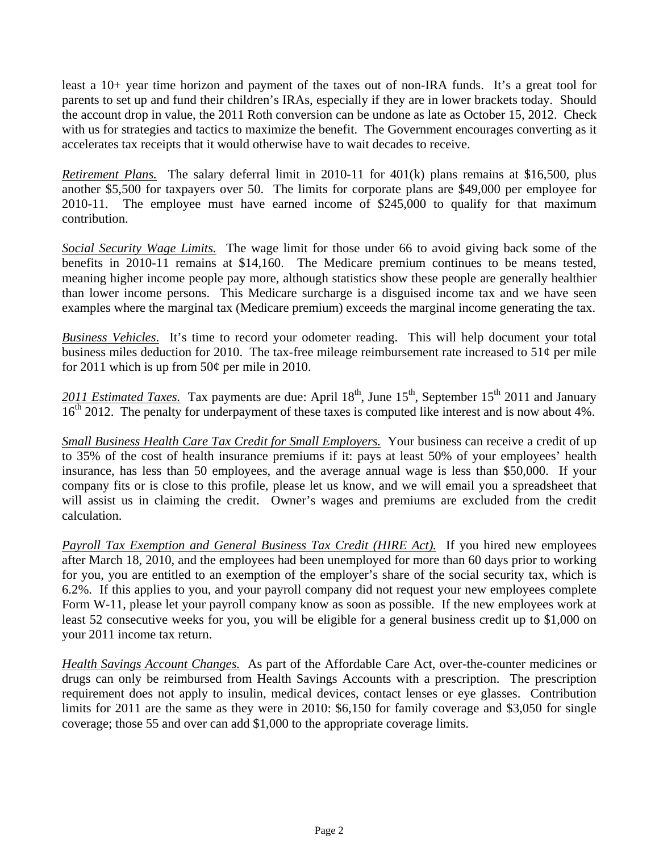least a 10+ year time horizon and payment of the taxes out of non-IRA funds. It's a great tool for parents to set up and fund their children's IRAs, especially if they are in lower brackets today. Should the account drop in value, the 2011 Roth conversion can be undone as late as October 15, 2012. Check with us for strategies and tactics to maximize the benefit. The Government encourages converting as it accelerates tax receipts that it would otherwise have to wait decades to receive.

*Retirement Plans.* The salary deferral limit in 2010-11 for 401(k) plans remains at \$16,500, plus another \$5,500 for taxpayers over 50. The limits for corporate plans are \$49,000 per employee for 2010-11. The employee must have earned income of \$245,000 to qualify for that maximum contribution.

*Social Security Wage Limits.* The wage limit for those under 66 to avoid giving back some of the benefits in 2010-11 remains at \$14,160. The Medicare premium continues to be means tested, meaning higher income people pay more, although statistics show these people are generally healthier than lower income persons. This Medicare surcharge is a disguised income tax and we have seen examples where the marginal tax (Medicare premium) exceeds the marginal income generating the tax.

*Business Vehicles*. It's time to record your odometer reading. This will help document your total business miles deduction for 2010. The tax-free mileage reimbursement rate increased to  $51¢$  per mile for 2011 which is up from  $50¢$  per mile in 2010.

2011 Estimated Taxes. Tax payments are due: April 18<sup>th</sup>, June 15<sup>th</sup>, September 15<sup>th</sup> 2011 and January  $16<sup>th</sup>$  2012. The penalty for underpayment of these taxes is computed like interest and is now about 4%.

*Small Business Health Care Tax Credit for Small Employers.* Your business can receive a credit of up to 35% of the cost of health insurance premiums if it: pays at least 50% of your employees' health insurance, has less than 50 employees, and the average annual wage is less than \$50,000. If your company fits or is close to this profile, please let us know, and we will email you a spreadsheet that will assist us in claiming the credit. Owner's wages and premiums are excluded from the credit calculation.

*Payroll Tax Exemption and General Business Tax Credit (HIRE Act).* If you hired new employees after March 18, 2010, and the employees had been unemployed for more than 60 days prior to working for you, you are entitled to an exemption of the employer's share of the social security tax, which is 6.2%. If this applies to you, and your payroll company did not request your new employees complete Form W-11, please let your payroll company know as soon as possible. If the new employees work at least 52 consecutive weeks for you, you will be eligible for a general business credit up to \$1,000 on your 2011 income tax return.

*Health Savings Account Changes.* As part of the Affordable Care Act, over-the-counter medicines or drugs can only be reimbursed from Health Savings Accounts with a prescription. The prescription requirement does not apply to insulin, medical devices, contact lenses or eye glasses. Contribution limits for 2011 are the same as they were in 2010: \$6,150 for family coverage and \$3,050 for single coverage; those 55 and over can add \$1,000 to the appropriate coverage limits.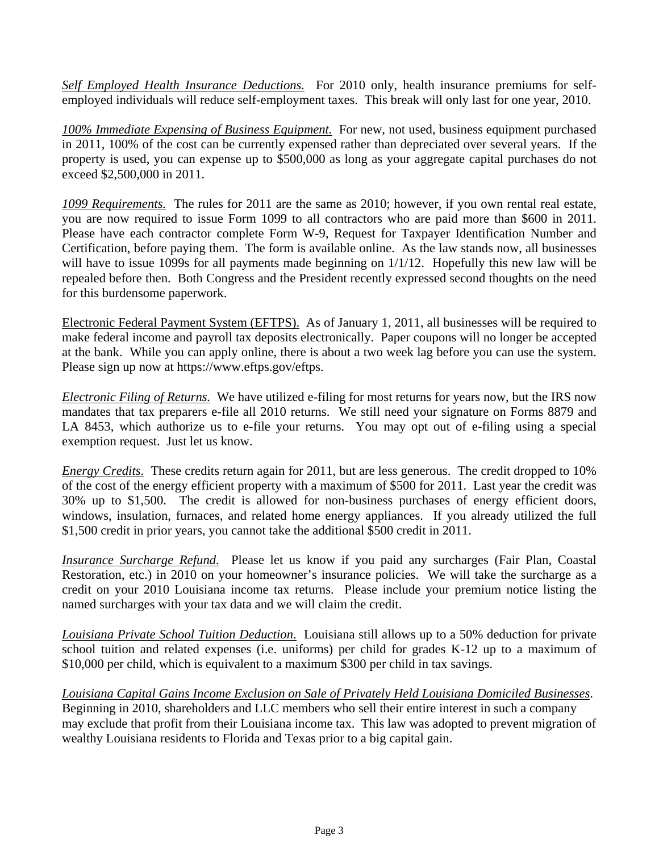*Self Employed Health Insurance Deductions.* For 2010 only, health insurance premiums for selfemployed individuals will reduce self-employment taxes. This break will only last for one year, 2010.

*100% Immediate Expensing of Business Equipment.* For new, not used, business equipment purchased in 2011, 100% of the cost can be currently expensed rather than depreciated over several years. If the property is used, you can expense up to \$500,000 as long as your aggregate capital purchases do not exceed \$2,500,000 in 2011.

*1099 Requirements.* The rules for 2011 are the same as 2010; however, if you own rental real estate, you are now required to issue Form 1099 to all contractors who are paid more than \$600 in 2011. Please have each contractor complete Form W-9, Request for Taxpayer Identification Number and Certification, before paying them. The form is available online. As the law stands now, all businesses will have to issue 1099s for all payments made beginning on  $1/1/12$ . Hopefully this new law will be repealed before then. Both Congress and the President recently expressed second thoughts on the need for this burdensome paperwork.

Electronic Federal Payment System (EFTPS). As of January 1, 2011, all businesses will be required to make federal income and payroll tax deposits electronically. Paper coupons will no longer be accepted at the bank. While you can apply online, there is about a two week lag before you can use the system. Please sign up now at https://www.eftps.gov/eftps.

*Electronic Filing of Returns.* We have utilized e-filing for most returns for years now, but the IRS now mandates that tax preparers e-file all 2010 returns. We still need your signature on Forms 8879 and LA 8453, which authorize us to e-file your returns. You may opt out of e-filing using a special exemption request. Just let us know.

*Energy Credits*. These credits return again for 2011, but are less generous. The credit dropped to 10% of the cost of the energy efficient property with a maximum of \$500 for 2011. Last year the credit was 30% up to \$1,500. The credit is allowed for non-business purchases of energy efficient doors, windows, insulation, furnaces, and related home energy appliances. If you already utilized the full \$1,500 credit in prior years, you cannot take the additional \$500 credit in 2011.

*Insurance Surcharge Refund*. Please let us know if you paid any surcharges (Fair Plan, Coastal Restoration, etc.) in 2010 on your homeowner's insurance policies. We will take the surcharge as a credit on your 2010 Louisiana income tax returns. Please include your premium notice listing the named surcharges with your tax data and we will claim the credit.

*Louisiana Private School Tuition Deduction*. Louisiana still allows up to a 50% deduction for private school tuition and related expenses (i.e. uniforms) per child for grades K-12 up to a maximum of \$10,000 per child, which is equivalent to a maximum \$300 per child in tax savings.

*Louisiana Capital Gains Income Exclusion on Sale of Privately Held Louisiana Domiciled Businesses*. Beginning in 2010, shareholders and LLC members who sell their entire interest in such a company may exclude that profit from their Louisiana income tax. This law was adopted to prevent migration of wealthy Louisiana residents to Florida and Texas prior to a big capital gain.